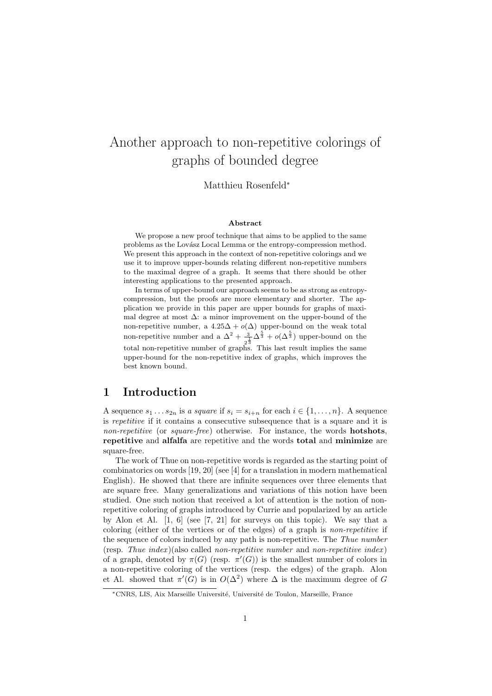# Another approach to non-repetitive colorings of graphs of bounded degree

Matthieu Rosenfeld<sup>∗</sup>

#### Abstract

We propose a new proof technique that aims to be applied to the same problems as the Lovász Local Lemma or the entropy-compression method. We present this approach in the context of non-repetitive colorings and we use it to improve upper-bounds relating different non-repetitive numbers to the maximal degree of a graph. It seems that there should be other interesting applications to the presented approach.

In terms of upper-bound our approach seems to be as strong as entropycompression, but the proofs are more elementary and shorter. The application we provide in this paper are upper bounds for graphs of maximal degree at most  $\Delta$ : a minor improvement on the upper-bound of the non-repetitive number, a  $4.25\Delta + o(\Delta)$  upper-bound on the weak total non-repetitive number and a  $\Delta^2 + \frac{3}{2}$  $\frac{3}{2^{\frac{1}{3}}} \Delta^{\frac{5}{3}} + o(\Delta^{\frac{5}{3}})$  upper-bound on the total non-repetitive number of graphs. This last result implies the same upper-bound for the non-repetitive index of graphs, which improves the best known bound.

### 1 Introduction

A sequence  $s_1 \ldots s_{2n}$  is a square if  $s_i = s_{i+n}$  for each  $i \in \{1, \ldots, n\}$ . A sequence is repetitive if it contains a consecutive subsequence that is a square and it is non-repetitive (or square-free) otherwise. For instance, the words **hotshots**, repetitive and alfalfa are repetitive and the words total and minimize are square-free.

The work of Thue on non-repetitive words is regarded as the starting point of combinatorics on words [19, 20] (see [4] for a translation in modern mathematical English). He showed that there are infinite sequences over three elements that are square free. Many generalizations and variations of this notion have been studied. One such notion that received a lot of attention is the notion of nonrepetitive coloring of graphs introduced by Currie and popularized by an article by Alon et Al. [1, 6] (see [7, 21] for surveys on this topic). We say that a coloring (either of the vertices or of the edges) of a graph is non-repetitive if the sequence of colors induced by any path is non-repetitive. The Thue number (resp. Thue index)(also called non-repetitive number and non-repetitive index) of a graph, denoted by  $\pi(G)$  (resp.  $\pi'(G)$ ) is the smallest number of colors in a non-repetitive coloring of the vertices (resp. the edges) of the graph. Alon et Al. showed that  $\pi'(G)$  is in  $O(\Delta^2)$  where  $\Delta$  is the maximum degree of G

<sup>\*</sup>CNRS, LIS, Aix Marseille Université, Université de Toulon, Marseille, France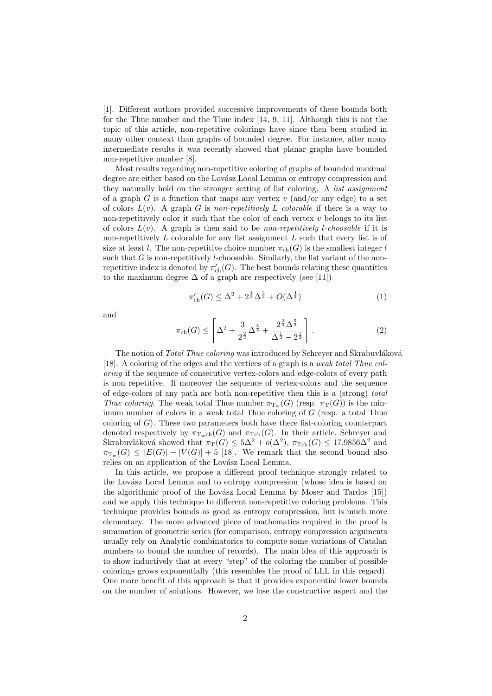[1]. Different authors provided successive improvements of these bounds both for the Thue number and the Thue index [14, 9, 11]. Although this is not the topic of this article, non-repetitive colorings have since then been studied in many other context than graphs of bounded degree. For instance, after many intermediate results it was recently showed that planar graphs have bounded non-repetitive number [8].

Most results regarding non-repetitive coloring of graphs of bounded maximal degree are either based on the Lovász Local Lemma or entropy compression and they naturally hold on the stronger setting of list coloring. A list assignment of a graph G is a function that maps any vertex  $v$  (and/or any edge) to a set of colors  $L(v)$ . A graph G is non-repetitively L colorable if there is a way to non-repetitively color it such that the color of each vertex  $v$  belongs to its list of colors  $L(v)$ . A graph is then said to be non-repetitively *l*-choosable if it is non-repetitively  $L$  colorable for any list assignment  $L$  such that every list is of size at least l. The non-repetitive choice number  $\pi_{ch}(G)$  is the smallest integer l such that  $G$  is non-repetitively *l*-choosable. Similarly, the list variant of the nonrepetitive index is denoted by  $\pi'_{ch}(G)$ . The best bounds relating these quantities to the maximum degree  $\Delta$  of a graph are respectively (see [11])

$$
\pi'_{\rm ch}(G) \le \Delta^2 + 2^{\frac{4}{3}} \Delta^{\frac{5}{3}} + O(\Delta^{\frac{4}{3}})
$$
\n(1)

and

$$
\pi_{\text{ch}}(G) \le \left[ \Delta^2 + \frac{3}{2^{\frac{2}{3}}} \Delta^{\frac{5}{3}} + \frac{2^{\frac{2}{3}} \Delta^{\frac{5}{3}}}{\Delta^{\frac{1}{3}} - 2^{\frac{1}{3}}} \right]. \tag{2}
$$

The notion of Total Thue coloring was introduced by Schreyer and Škrabuvláková [18]. A coloring of the edges and the vertices of a graph is a weak total Thue coloring if the sequence of consecutive vertex-colors and edge-colors of every path is non repetitive. If moreover the sequence of vertex-colors and the sequence of edge-colors of any path are both non-repetitive then this is a (strong) total Thue coloring. The weak total Thue number  $\pi_{\mathcal{T}_{w}}(G)$  (resp.  $\pi_{\mathcal{T}}(G)$ ) is the minimum number of colors in a weak total Thue coloring of G (resp. a total Thue coloring of  $G$ ). These two parameters both have there list-coloring counterpart denoted respectively by  $\pi_{\mathcal{T}_{w}ch}(G)$  and  $\pi_{\mathcal{T}ch}(G)$ . In their article, Schreyer and Skrabuvláková showed that  $\pi_T(G) \leq 5\Delta^2 + o(\Delta^2)$ ,  $\pi_{\text{Tch}}(G) \leq 17.9856\Delta^2$  and  $\pi_{T_w}(G) \leq |E(G)| - |V(G)| + 5$  [18]. We remark that the second bound also relies on an application of the Lovász Local Lemma.

In this article, we propose a different proof technique strongly related to the Lovász Local Lemma and to entropy compression (whose idea is based on the algorithmic proof of the Lovász Local Lemma by Moser and Tardos [15]) and we apply this technique to different non-repetitive coloring problems. This technique provides bounds as good as entropy compression, but is much more elementary. The more advanced piece of mathematics required in the proof is summation of geometric series (for comparison, entropy compression arguments usually rely on Analytic combinatorics to compute some variations of Catalan numbers to bound the number of records). The main idea of this approach is to show inductively that at every "step" of the coloring the number of possible colorings grows exponentially (this resembles the proof of LLL in this regard). One more benefit of this approach is that it provides exponential lower bounds on the number of solutions. However, we lose the constructive aspect and the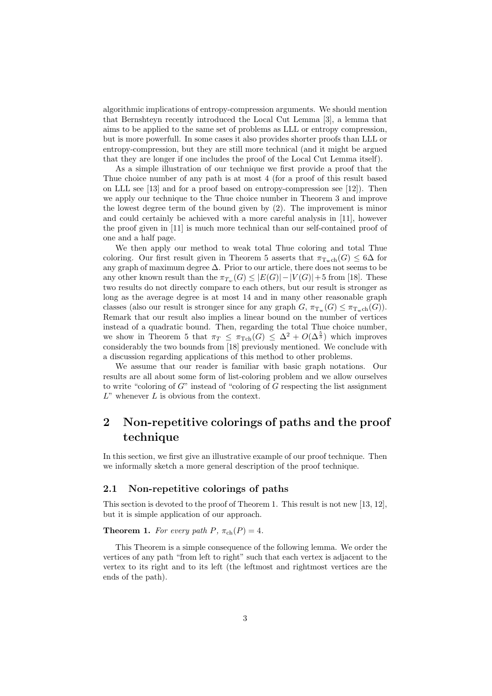algorithmic implications of entropy-compression arguments. We should mention that Bernshteyn recently introduced the Local Cut Lemma [3], a lemma that aims to be applied to the same set of problems as LLL or entropy compression, but is more powerfull. In some cases it also provides shorter proofs than LLL or entropy-compression, but they are still more technical (and it might be argued that they are longer if one includes the proof of the Local Cut Lemma itself).

As a simple illustration of our technique we first provide a proof that the Thue choice number of any path is at most 4 (for a proof of this result based on LLL see [13] and for a proof based on entropy-compression see [12]). Then we apply our technique to the Thue choice number in Theorem 3 and improve the lowest degree term of the bound given by (2). The improvement is minor and could certainly be achieved with a more careful analysis in [11], however the proof given in [11] is much more technical than our self-contained proof of one and a half page.

We then apply our method to weak total Thue coloring and total Thue coloring. Our first result given in Theorem 5 asserts that  $\pi_{\text{Tr.ch}}(G) \leq 6\Delta$  for any graph of maximum degree ∆. Prior to our article, there does not seems to be any other known result than the  $\pi_{T_w}(G) \leq |E(G)|-|V(G)|+5$  from [18]. These two results do not directly compare to each others, but our result is stronger as long as the average degree is at most 14 and in many other reasonable graph classes (also our result is stronger since for any graph  $G$ ,  $\pi_{T_w}(G) \leq \pi_{T_wch}(G)$ ). Remark that our result also implies a linear bound on the number of vertices instead of a quadratic bound. Then, regarding the total Thue choice number, we show in Theorem 5 that  $\pi_T \leq \pi_{Tch}(G) \leq \Delta^2 + O(\Delta^{\frac{5}{3}})$  which improves considerably the two bounds from [18] previously mentioned. We conclude with a discussion regarding applications of this method to other problems.

We assume that our reader is familiar with basic graph notations. Our results are all about some form of list-coloring problem and we allow ourselves to write "coloring of  $G$ " instead of "coloring of  $G$  respecting the list assignment  $L$ " whenever  $L$  is obvious from the context.

## 2 Non-repetitive colorings of paths and the proof technique

In this section, we first give an illustrative example of our proof technique. Then we informally sketch a more general description of the proof technique.

#### 2.1 Non-repetitive colorings of paths

This section is devoted to the proof of Theorem 1. This result is not new [13, 12], but it is simple application of our approach.

**Theorem 1.** For every path P,  $\pi_{ch}(P) = 4$ .

This Theorem is a simple consequence of the following lemma. We order the vertices of any path "from left to right" such that each vertex is adjacent to the vertex to its right and to its left (the leftmost and rightmost vertices are the ends of the path).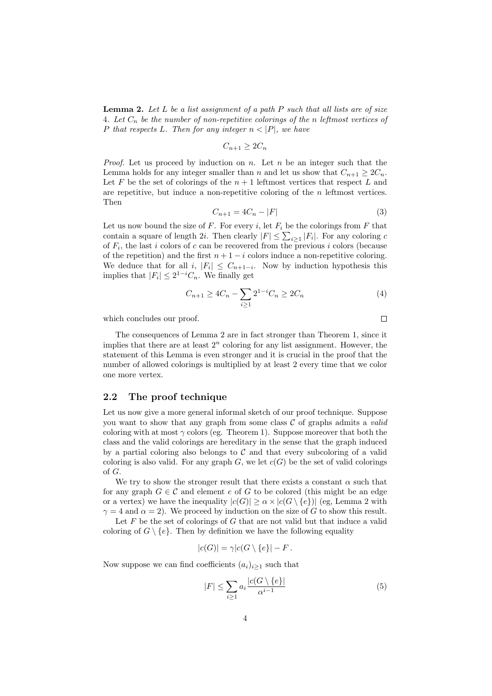**Lemma 2.** Let  $L$  be a list assignment of a path  $P$  such that all lists are of size 4. Let  $C_n$  be the number of non-repetitive colorings of the n leftmost vertices of P that respects L. Then for any integer  $n < |P|$ , we have

$$
C_{n+1} \geq 2C_n
$$

*Proof.* Let us proceed by induction on  $n$ . Let  $n$  be an integer such that the Lemma holds for any integer smaller than n and let us show that  $C_{n+1} \geq 2C_n$ . Let F be the set of colorings of the  $n+1$  leftmost vertices that respect L and are repetitive, but induce a non-repetitive coloring of the  $n$  leftmost vertices. Then

$$
C_{n+1} = 4C_n - |F| \tag{3}
$$

Let us now bound the size of  $F$ . For every  $i$ , let  $F_i$  be the colorings from  $F$  that contain a square of length 2*i*. Then clearly  $|F| \leq \sum_{i \geq 1} |F_i|$ . For any coloring c of  $F_i$ , the last i colors of c can be recovered from the previous i colors (because of the repetition) and the first  $n + 1 - i$  colors induce a non-repetitive coloring. We deduce that for all  $i, |F_i| \leq C_{n+1-i}$ . Now by induction hypothesis this implies that  $|F_i| \leq 2^{1-i}C_n$ . We finally get

$$
C_{n+1} \ge 4C_n - \sum_{i \ge 1} 2^{1-i} C_n \ge 2C_n \tag{4}
$$

 $\Box$ 

which concludes our proof.

The consequences of Lemma 2 are in fact stronger than Theorem 1, since it implies that there are at least  $2^n$  coloring for any list assignment. However, the statement of this Lemma is even stronger and it is crucial in the proof that the number of allowed colorings is multiplied by at least 2 every time that we color one more vertex.

#### 2.2 The proof technique

Let us now give a more general informal sketch of our proof technique. Suppose you want to show that any graph from some class  $C$  of graphs admits a *valid* coloring with at most  $\gamma$  colors (eg. Theorem 1). Suppose moreover that both the class and the valid colorings are hereditary in the sense that the graph induced by a partial coloring also belongs to  $\mathcal C$  and that every subcoloring of a valid coloring is also valid. For any graph  $G$ , we let  $c(G)$  be the set of valid colorings of G.

We try to show the stronger result that there exists a constant  $\alpha$  such that for any graph  $G \in \mathcal{C}$  and element e of G to be colored (this might be an edge or a vertex) we have the inequality  $|c(G)| \ge \alpha \times |c(G \setminus \{e\})|$  (eg, Lemma 2 with  $\gamma = 4$  and  $\alpha = 2$ ). We proceed by induction on the size of G to show this result.

Let  $F$  be the set of colorings of  $G$  that are not valid but that induce a valid coloring of  $G \setminus \{e\}$ . Then by definition we have the following equality

$$
|c(G)| = \gamma |c(G \setminus \{e\}| - F.
$$

Now suppose we can find coefficients  $(a_i)_{i\geq 1}$  such that

$$
|F| \le \sum_{i \ge 1} a_i \frac{|c(G \setminus \{e\}|)}{\alpha^{i-1}} \tag{5}
$$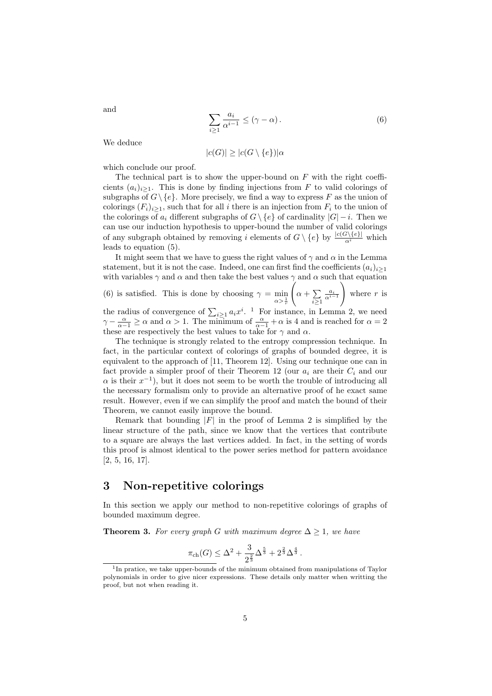$$
\sum_{i\geq 1} \frac{a_i}{\alpha^{i-1}} \leq (\gamma - \alpha). \tag{6}
$$

We deduce

$$
|c(G)| \ge |c(G \setminus \{e\})|\alpha
$$

which conclude our proof.

The technical part is to show the upper-bound on  $F$  with the right coefficients  $(a_i)_{i\geq 1}$ . This is done by finding injections from F to valid colorings of subgraphs of  $G \setminus \{e\}$ . More precisely, we find a way to express F as the union of colorings  $(F_i)_{i\geq 1}$ , such that for all i there is an injection from  $F_i$  to the union of the colorings of  $a_i$  different subgraphs of  $G \setminus \{e\}$  of cardinality  $|G| - i$ . Then we can use our induction hypothesis to upper-bound the number of valid colorings of any subgraph obtained by removing i elements of  $G \setminus \{e\}$  by  $\frac{|c(G \setminus \{e\}|)}{\alpha^i}$  which leads to equation (5).

It might seem that we have to guess the right values of  $\gamma$  and  $\alpha$  in the Lemma statement, but it is not the case. Indeed, one can first find the coefficients  $(a_i)_{i\geq 1}$ with variables  $\gamma$  and  $\alpha$  and then take the best values  $\gamma$  and  $\alpha$  such that equation

(6) is satisfied. This is done by choosing  $\gamma = \min_{\alpha > \frac{1}{r}}$  $\sqrt{ }$  $\alpha + \sum$  $i \geq 1$  $\frac{a_i}{\alpha^{i-1}}$  $\setminus$ where  $r$  is the radius of convergence of  $\sum_{i\geq 1} a_i x^i$ . <sup>1</sup> For instance, in Lemma 2, we need  $\gamma - \frac{\alpha}{\alpha - 1} \ge \alpha$  and  $\alpha > 1$ . The minimum of  $\frac{\alpha}{\alpha - 1} + \alpha$  is 4 and is reached for  $\alpha = 2$ these are respectively the best values to take for  $\gamma$  and  $\alpha$ .

The technique is strongly related to the entropy compression technique. In fact, in the particular context of colorings of graphs of bounded degree, it is equivalent to the approach of [11, Theorem 12]. Using our technique one can in fact provide a simpler proof of their Theorem 12 (our  $a_i$  are their  $C_i$  and our  $\alpha$  is their  $x^{-1}$ ), but it does not seem to be worth the trouble of introducing all the necessary formalism only to provide an alternative proof of he exact same result. However, even if we can simplify the proof and match the bound of their Theorem, we cannot easily improve the bound.

Remark that bounding  $|F|$  in the proof of Lemma 2 is simplified by the linear structure of the path, since we know that the vertices that contribute to a square are always the last vertices added. In fact, in the setting of words this proof is almost identical to the power series method for pattern avoidance [2, 5, 16, 17].

#### 3 Non-repetitive colorings

In this section we apply our method to non-repetitive colorings of graphs of bounded maximum degree.

**Theorem 3.** For every graph G with maximum degree  $\Delta \geq 1$ , we have

$$
\pi_{\text{ch}}(G) \le \Delta^2 + \frac{3}{2^{\frac{2}{3}}} \Delta^{\frac{5}{3}} + 2^{\frac{2}{3}} \Delta^{\frac{4}{3}}.
$$

and

<sup>&</sup>lt;sup>1</sup>In pratice, we take upper-bounds of the minimum obtained from manipulations of Taylor polynomials in order to give nicer expressions. These details only matter when writting the proof, but not when reading it.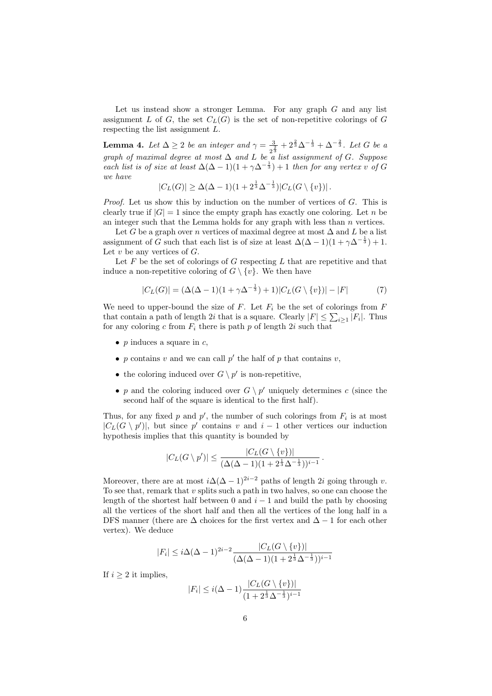Let us instead show a stronger Lemma. For any graph  $G$  and any list assignment L of G, the set  $C<sub>L</sub>(G)$  is the set of non-repetitive colorings of G respecting the list assignment L.

**Lemma 4.** Let  $\Delta \geq 2$  be an integer and  $\gamma = \frac{3}{4}$  $\frac{3}{2^{\frac{2}{3}}}+2^{\frac{2}{3}}\Delta^{-\frac{1}{3}}+\Delta^{-\frac{2}{3}}$ . Let G be a graph of maximal degree at most  $\Delta$  and  $L$  be a list assignment of  $G$ . Suppose each list is of size at least  $\Delta(\Delta - 1)(1 + \gamma \Delta^{-\frac{1}{3}}) + 1$  then for any vertex v of G we have

$$
|C_L(G)| \geq \Delta(\Delta - 1)(1 + 2^{\frac{1}{3}}\Delta^{-\frac{1}{3}})|C_L(G \setminus \{v\})|.
$$

Proof. Let us show this by induction on the number of vertices of G. This is clearly true if  $|G| = 1$  since the empty graph has exactly one coloring. Let n be an integer such that the Lemma holds for any graph with less than  $n$  vertices.

Let G be a graph over n vertices of maximal degree at most  $\Delta$  and L be a list assignment of G such that each list is of size at least  $\Delta(\Delta - 1)(1 + \gamma \Delta^{-\frac{1}{3}}) + 1$ . Let  $v$  be any vertices of  $G$ .

Let  $F$  be the set of colorings of  $G$  respecting  $L$  that are repetitive and that induce a non-repetitive coloring of  $G \setminus \{v\}$ . We then have

$$
|C_L(G)| = (\Delta(\Delta - 1)(1 + \gamma \Delta^{-\frac{1}{3}}) + 1)|C_L(G \setminus \{v\})| - |F|
$$
 (7)

We need to upper-bound the size of  $F$ . Let  $F_i$  be the set of colorings from  $F$ that contain a path of length 2*i* that is a square. Clearly  $|F| \leq \sum_{i \geq 1} |F_i|$ . Thus for any coloring c from  $F_i$  there is path p of length 2i such that

- p induces a square in  $c$ ,
- p contains v and we can call  $p'$  the half of p that contains v,
- the coloring induced over  $G \setminus p'$  is non-repetitive,
- p and the coloring induced over  $G \setminus p'$  uniquely determines c (since the second half of the square is identical to the first half).

Thus, for any fixed p and  $p'$ , the number of such colorings from  $F_i$  is at most  $|C_{L}(G \setminus p')|$ , but since p' contains v and  $i-1$  other vertices our induction hypothesis implies that this quantity is bounded by

$$
|C_L(G \setminus p')| \leq \frac{|C_L(G \setminus \{v\})|}{(\Delta(\Delta - 1)(1 + 2^{\frac{1}{3}}\Delta^{-\frac{1}{3}}))^{i-1}}.
$$

Moreover, there are at most  $i\Delta(\Delta - 1)^{2i-2}$  paths of length 2i going through v. To see that, remark that v splits such a path in two halves, so one can choose the length of the shortest half between 0 and  $i - 1$  and build the path by choosing all the vertices of the short half and then all the vertices of the long half in a DFS manner (there are  $\Delta$  choices for the first vertex and  $\Delta - 1$  for each other vertex). We deduce

$$
|F_i| \leq i\Delta(\Delta - 1)^{2i-2} \frac{|C_L(G \setminus \{v\})|}{(\Delta(\Delta - 1)(1 + 2^{\frac{1}{3}}\Delta^{-\frac{1}{3}}))^{i-1}}
$$

If  $i > 2$  it implies,

$$
|F_i| \leq i(\Delta - 1) \frac{|C_L(G \setminus \{v\})|}{(1 + 2^{\frac{1}{3}} \Delta^{-\frac{1}{3}})^{i-1}}
$$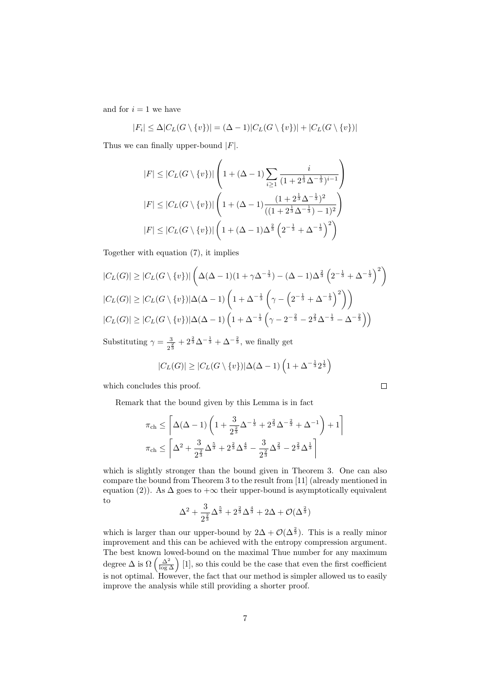and for  $i = 1$  we have

$$
|F_i| \leq \Delta |C_L(G \setminus \{v\})| = (\Delta - 1)|C_L(G \setminus \{v\})| + |C_L(G \setminus \{v\})|
$$

Thus we can finally upper-bound  $|F|$ .

$$
|F| \leq |C_{L}(G \setminus \{v\})| \left(1 + (\Delta - 1) \sum_{i \geq 1} \frac{i}{(1 + 2^{\frac{1}{3}} \Delta^{-\frac{1}{3}})^{i-1}} \right)
$$
  

$$
|F| \leq |C_{L}(G \setminus \{v\})| \left(1 + (\Delta - 1) \frac{(1 + 2^{\frac{1}{3}} \Delta^{-\frac{1}{3}})^{2}}{((1 + 2^{\frac{1}{3}} \Delta^{-\frac{1}{3}}) - 1)^{2}}\right)
$$
  

$$
|F| \leq |C_{L}(G \setminus \{v\})| \left(1 + (\Delta - 1) \Delta^{\frac{2}{3}} \left(2^{-\frac{1}{3}} + \Delta^{-\frac{1}{3}}\right)^{2}\right)
$$

Together with equation (7), it implies

$$
|C_{L}(G)| \geq |C_{L}(G \setminus \{v\})| \left(\Delta(\Delta - 1)(1 + \gamma \Delta^{-\frac{1}{3}}) - (\Delta - 1)\Delta^{\frac{2}{3}} \left(2^{-\frac{1}{3}} + \Delta^{-\frac{1}{3}}\right)^{2}\right)
$$
  

$$
|C_{L}(G)| \geq |C_{L}(G \setminus \{v\})| \Delta(\Delta - 1) \left(1 + \Delta^{-\frac{1}{3}} \left(\gamma - \left(2^{-\frac{1}{3}} + \Delta^{-\frac{1}{3}}\right)^{2}\right)\right)
$$
  

$$
|C_{L}(G)| \geq |C_{L}(G \setminus \{v\})| \Delta(\Delta - 1) \left(1 + \Delta^{-\frac{1}{3}} \left(\gamma - 2^{-\frac{2}{3}} - 2^{\frac{2}{3}} \Delta^{-\frac{1}{3}} - \Delta^{-\frac{2}{3}}\right)\right)
$$

Substituting  $\gamma = \frac{3}{4}$  $\frac{3}{2^{\frac{2}{3}}} + 2^{\frac{2}{3}}\Delta^{-\frac{1}{3}} + \Delta^{-\frac{2}{3}}$ , we finally get

$$
|C_L(G)| \ge |C_L(G \setminus \{v\})| \Delta(\Delta - 1) \left(1 + \Delta^{-\frac{1}{3}} 2^{\frac{1}{3}}\right)
$$

which concludes this proof.

Remark that the bound given by this Lemma is in fact

$$
\pi_{ch} \le \left\lceil \Delta(\Delta - 1) \left( 1 + \frac{3}{2^{\frac{2}{3}}} \Delta^{-\frac{1}{3}} + 2^{\frac{2}{3}} \Delta^{-\frac{2}{3}} + \Delta^{-1} \right) + 1 \right\rceil
$$
  

$$
\pi_{ch} \le \left\lceil \Delta^2 + \frac{3}{2^{\frac{2}{3}}} \Delta^{\frac{5}{3}} + 2^{\frac{2}{3}} \Delta^{\frac{4}{3}} - \frac{3}{2^{\frac{2}{3}}} \Delta^{\frac{2}{3}} - 2^{\frac{2}{3}} \Delta^{\frac{1}{3}} \right\rceil
$$

which is slightly stronger than the bound given in Theorem 3. One can also compare the bound from Theorem 3 to the result from [11] (already mentioned in equation (2)). As  $\Delta$  goes to  $+\infty$  their upper-bound is asymptotically equivalent to

$$
\Delta^2 + \frac{3}{2^{\frac{2}{3}}} \Delta^{\frac{5}{3}} + 2^{\frac{2}{3}} \Delta^{\frac{4}{3}} + 2\Delta + \mathcal{O}(\Delta^{\frac{2}{3}})
$$

which is larger than our upper-bound by  $2\Delta + \mathcal{O}(\Delta^{\frac{2}{3}})$ . This is a really minor improvement and this can be achieved with the entropy compression argument. The best known lowed-bound on the maximal Thue number for any maximum degree  $\Delta$  is  $\Omega\left(\frac{\Delta^2}{\log \Delta}\right)$  [1], so this could be the case that even the first coefficient is not optimal. However, the fact that our method is simpler allowed us to easily improve the analysis while still providing a shorter proof.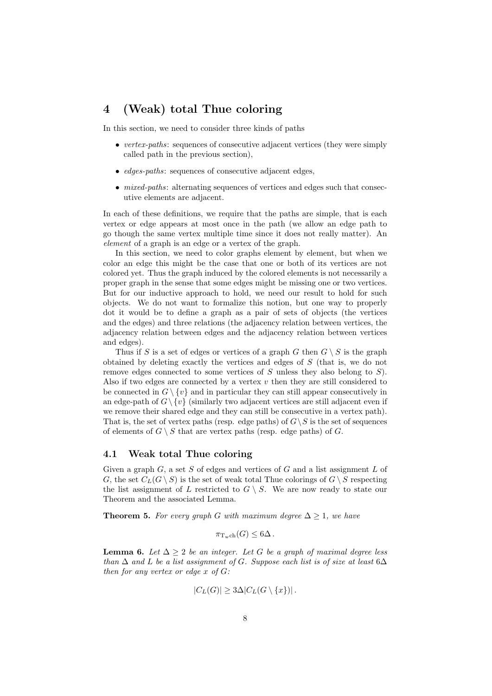### 4 (Weak) total Thue coloring

In this section, we need to consider three kinds of paths

- vertex-paths: sequences of consecutive adjacent vertices (they were simply called path in the previous section),
- *edges-paths*: sequences of consecutive adjacent edges,
- *mixed-paths*: alternating sequences of vertices and edges such that consecutive elements are adjacent.

In each of these definitions, we require that the paths are simple, that is each vertex or edge appears at most once in the path (we allow an edge path to go though the same vertex multiple time since it does not really matter). An element of a graph is an edge or a vertex of the graph.

In this section, we need to color graphs element by element, but when we color an edge this might be the case that one or both of its vertices are not colored yet. Thus the graph induced by the colored elements is not necessarily a proper graph in the sense that some edges might be missing one or two vertices. But for our inductive approach to hold, we need our result to hold for such objects. We do not want to formalize this notion, but one way to properly dot it would be to define a graph as a pair of sets of objects (the vertices and the edges) and three relations (the adjacency relation between vertices, the adjacency relation between edges and the adjacency relation between vertices and edges).

Thus if S is a set of edges or vertices of a graph G then  $G \setminus S$  is the graph obtained by deleting exactly the vertices and edges of S (that is, we do not remove edges connected to some vertices of  $S$  unless they also belong to  $S$ ). Also if two edges are connected by a vertex  $v$  then they are still considered to be connected in  $G \setminus \{v\}$  and in particular they can still appear consecutively in an edge-path of  $G \setminus \{v\}$  (similarly two adjacent vertices are still adjacent even if we remove their shared edge and they can still be consecutive in a vertex path). That is, the set of vertex paths (resp. edge paths) of  $G\setminus S$  is the set of sequences of elements of  $G \setminus S$  that are vertex paths (resp. edge paths) of G.

#### 4.1 Weak total Thue coloring

Given a graph  $G$ , a set S of edges and vertices of  $G$  and a list assignment  $L$  of G, the set  $C_L(G \setminus S)$  is the set of weak total Thue colorings of  $G \setminus S$  respecting the list assignment of L restricted to  $G \setminus S$ . We are now ready to state our Theorem and the associated Lemma.

**Theorem 5.** For every graph G with maximum degree  $\Delta > 1$ , we have

$$
\pi_{\mathrm{T}_{\mathrm{w}}\mathrm{ch}}(G) \leq 6\Delta.
$$

**Lemma 6.** Let  $\Delta \geq 2$  be an integer. Let G be a graph of maximal degree less than  $\Delta$  and L be a list assignment of G. Suppose each list is of size at least 6 $\Delta$ then for any vertex or edge  $x$  of  $G$ :

$$
|C_L(G)| \geq 3\Delta |C_L(G \setminus \{x\})|.
$$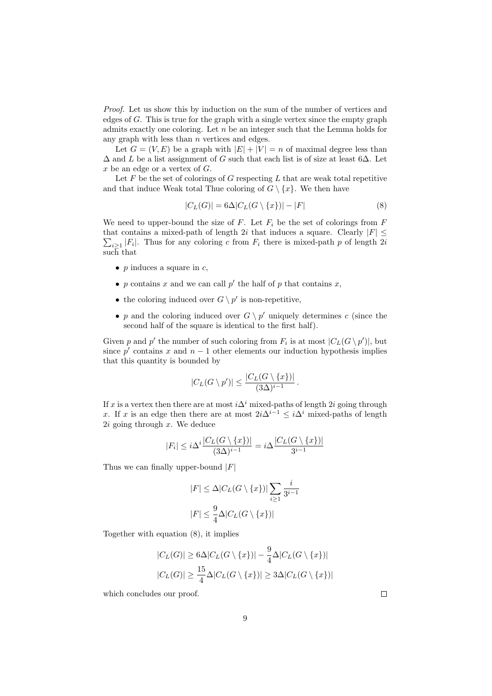Proof. Let us show this by induction on the sum of the number of vertices and edges of G. This is true for the graph with a single vertex since the empty graph admits exactly one coloring. Let  $n$  be an integer such that the Lemma holds for any graph with less than  $n$  vertices and edges.

Let  $G = (V, E)$  be a graph with  $|E| + |V| = n$  of maximal degree less than  $\Delta$  and L be a list assignment of G such that each list is of size at least 6 $\Delta$ . Let  $x$  be an edge or a vertex of  $G$ .

Let  $F$  be the set of colorings of  $G$  respecting  $L$  that are weak total repetitive and that induce Weak total Thue coloring of  $G \setminus \{x\}$ . We then have

$$
|C_L(G)| = 6\Delta |C_L(G \setminus \{x\})| - |F|
$$
\n(8)

We need to upper-bound the size of F. Let  $F_i$  be the set of colorings from F that contains a mixed-path of length 2i that induces a square. Clearly  $|F| \leq$  $\sum_{i\geq 1}|F_i|$ . Thus for any coloring c from  $F_i$  there is mixed-path p of length 2i such that

- $p$  induces a square in  $c$ ,
- p contains x and we can call  $p'$  the half of p that contains x,
- the coloring induced over  $G \setminus p'$  is non-repetitive,
- p and the coloring induced over  $G \setminus p'$  uniquely determines c (since the second half of the square is identical to the first half).

Given p and p' the number of such coloring from  $F_i$  is at most  $|C_L(G \setminus p')|$ , but since  $p'$  contains x and  $n-1$  other elements our induction hypothesis implies that this quantity is bounded by

$$
|C_L(G \setminus p')| \le \frac{|C_L(G \setminus \{x\})|}{(3\Delta)^{i-1}}.
$$

If x is a vertex then there are at most  $i\Delta^i$  mixed-paths of length 2i going through x. If x is an edge then there are at most  $2i\Delta^{i-1} \leq i\Delta^i$  mixed-paths of length  $2i$  going through  $x$ . We deduce

$$
|F_i| \leq i\Delta^i \frac{|C_L(G \setminus \{x\})|}{(3\Delta)^{i-1}} = i\Delta \frac{|C_L(G \setminus \{x\})|}{3^{i-1}}
$$

Thus we can finally upper-bound  $|F|$ 

$$
|F| \le \Delta |C_L(G \setminus \{x\})| \sum_{i \ge 1} \frac{i}{3^{i-1}}
$$
  

$$
|F| \le \frac{9}{4} \Delta |C_L(G \setminus \{x\})|
$$

Together with equation (8), it implies

$$
|C_L(G)| \ge 6\Delta |C_L(G \setminus \{x\})| - \frac{9}{4}\Delta |C_L(G \setminus \{x\})|
$$
  

$$
|C_L(G)| \ge \frac{15}{4}\Delta |C_L(G \setminus \{x\})| \ge 3\Delta |C_L(G \setminus \{x\})|
$$

which concludes our proof.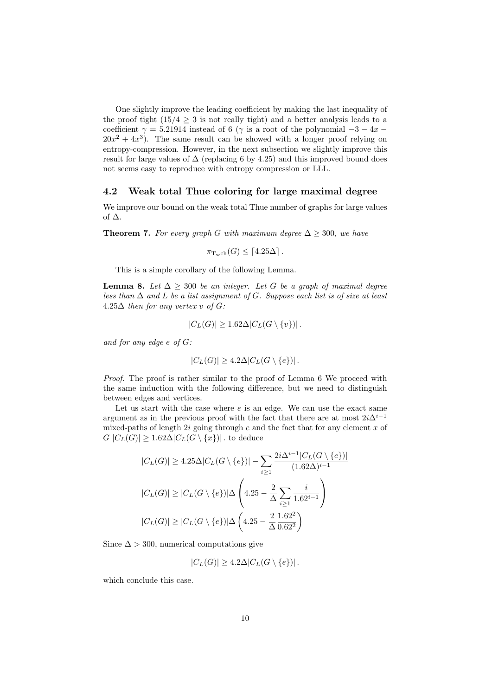One slightly improve the leading coefficient by making the last inequality of the proof tight  $(15/4 \geq 3$  is not really tight) and a better analysis leads to a coefficient  $\gamma = 5.21914$  instead of 6 ( $\gamma$  is a root of the polynomial  $-3 - 4x$  $20x^2 + 4x^3$ ). The same result can be showed with a longer proof relying on entropy-compression. However, in the next subsection we slightly improve this result for large values of  $\Delta$  (replacing 6 by 4.25) and this improved bound does not seems easy to reproduce with entropy compression or LLL.

#### 4.2 Weak total Thue coloring for large maximal degree

We improve our bound on the weak total Thue number of graphs for large values of ∆.

**Theorem 7.** For every graph G with maximum degree  $\Delta \geq 300$ , we have

$$
\pi_{\mathrm{Twch}}(G) \leq \lceil 4.25\Delta \rceil.
$$

This is a simple corollary of the following Lemma.

**Lemma 8.** Let  $\Delta \geq 300$  be an integer. Let G be a graph of maximal degree less than  $\Delta$  and  $L$  be a list assignment of G. Suppose each list is of size at least  $4.25\Delta$  then for any vertex v of G:

$$
|C_L(G)| \ge 1.62 \Delta |C_L(G \setminus \{v\})|.
$$

and for any edge e of G:

$$
|C_L(G)| \geq 4.2\Delta |C_L(G \setminus \{e\})|.
$$

Proof. The proof is rather similar to the proof of Lemma 6 We proceed with the same induction with the following difference, but we need to distinguish between edges and vertices.

Let us start with the case where  $e$  is an edge. We can use the exact same argument as in the previous proof with the fact that there are at most  $2i\Delta^{i-1}$ mixed-paths of length  $2i$  going through  $e$  and the fact that for any element  $x$  of  $G |C_L(G)| \geq 1.62 \Delta |C_L(G \setminus \{x\})|$ . to deduce

$$
|C_{L}(G)| \ge 4.25\Delta |C_{L}(G \setminus \{e\})| - \sum_{i \ge 1} \frac{2i\Delta^{i-1} |C_{L}(G \setminus \{e\})|}{(1.62\Delta)^{i-1}}
$$

$$
|C_{L}(G)| \ge |C_{L}(G \setminus \{e\})| \Delta \left(4.25 - \frac{2}{\Delta} \sum_{i \ge 1} \frac{i}{1.62^{i-1}}\right)
$$

$$
|C_{L}(G)| \ge |C_{L}(G \setminus \{e\})| \Delta \left(4.25 - \frac{2}{\Delta} \frac{1.62^{2}}{0.62^{2}}\right)
$$

Since  $\Delta > 300$ , numerical computations give

$$
|C_L(G)| \ge 4.2\Delta |C_L(G \setminus \{e\})|.
$$

which conclude this case.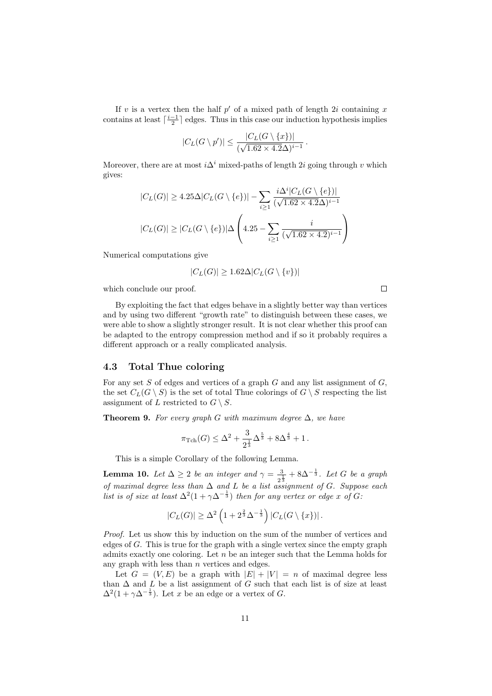If v is a vertex then the half  $p'$  of a mixed path of length 2i containing x contains at least  $\lceil \frac{i-1}{2} \rceil$  edges. Thus in this case our induction hypothesis implies

$$
|C_L(G \setminus p')| \le \frac{|C_L(G \setminus \{x\})|}{(\sqrt{1.62 \times 4.2}\Delta)^{i-1}}
$$

.

i∆<sup>i</sup>

Moreover, there are at most  $i\Delta^i$  mixed-paths of length 2i going through v which gives:

$$
|C_L(G)| \ge 4.25\Delta |C_L(G \setminus \{e\})| - \sum_{i \ge 1} \frac{i\Delta^i |C_L(G \setminus \{e\})|}{(\sqrt{1.62 \times 4.2}\Delta)^{i-1}}
$$

$$
|C_L(G)| \ge |C_L(G \setminus \{e\})| \Delta \left(4.25 - \sum_{i \ge 1} \frac{i}{(\sqrt{1.62 \times 4.2})^{i-1}}\right)
$$

Numerical computations give

$$
|C_L(G)| \ge 1.62 \Delta |C_L(G \setminus \{v\})|
$$

which conclude our proof.

By exploiting the fact that edges behave in a slightly better way than vertices and by using two different "growth rate" to distinguish between these cases, we were able to show a slightly stronger result. It is not clear whether this proof can be adapted to the entropy compression method and if so it probably requires a different approach or a really complicated analysis.

#### 4.3 Total Thue coloring

For any set  $S$  of edges and vertices of a graph  $G$  and any list assignment of  $G$ , the set  $C_L(G \setminus S)$  is the set of total Thue colorings of  $G \setminus S$  respecting the list assignment of L restricted to  $G \setminus S$ .

**Theorem 9.** For every graph G with maximum degree  $\Delta$ , we have

$$
\pi_{\rm Tch}(G) \le \Delta^2 + \frac{3}{2^{\frac{1}{3}}} \Delta^{\frac{5}{3}} + 8\Delta^{\frac{4}{3}} + 1.
$$

This is a simple Corollary of the following Lemma.

**Lemma 10.** Let  $\Delta \geq 2$  be an integer and  $\gamma = \frac{3}{2}$  $\frac{3}{2^{\frac{1}{3}}}+8\Delta^{-\frac{1}{3}}$ . Let G be a graph of maximal degree less than  $\Delta$  and  $L$  be a list assignment of  $G$ . Suppose each list is of size at least  $\Delta^2(1+\gamma\Delta^{-\frac{1}{3}})$  then for any vertex or edge x of G.

$$
|C_L(G)| \geq \Delta^2 \left(1 + 2^{\frac{2}{3}} \Delta^{-\frac{1}{3}}\right) |C_L(G \setminus \{x\})|.
$$

Proof. Let us show this by induction on the sum of the number of vertices and edges of  $G$ . This is true for the graph with a single vertex since the empty graph admits exactly one coloring. Let  $n$  be an integer such that the Lemma holds for any graph with less than  $n$  vertices and edges.

Let  $G = (V, E)$  be a graph with  $|E| + |V| = n$  of maximal degree less than  $\Delta$  and L be a list assignment of G such that each list is of size at least  $\Delta^2(1+\gamma\Delta^{-\frac{1}{3}})$ . Let x be an edge or a vertex of G.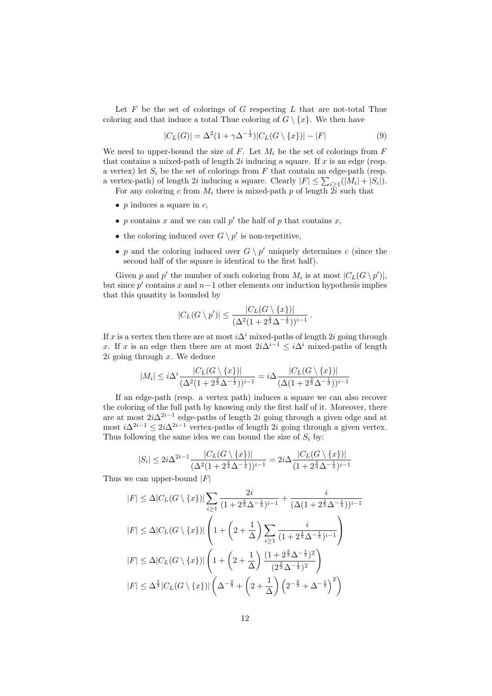Let  $F$  be the set of colorings of  $G$  respecting  $L$  that are not-total Thue coloring and that induce a total Thue coloring of  $G \setminus \{x\}$ . We then have

$$
|C_L(G)| = \Delta^2 (1 + \gamma \Delta^{-\frac{1}{3}}) |C_L(G \setminus \{x\})| - |F|
$$
\n(9)

We need to upper-bound the size of  $F$ . Let  $M_i$  be the set of colorings from  $F$ that contains a mixed-path of length  $2i$  inducing a square. If  $x$  is an edge (resp. a vertex) let  $S_i$  be the set of colorings from F that contain an edge-path (resp. a vertex-path) of length 2*i* inducing a square. Clearly  $|F| \leq \sum_{i \geq 1} (|M_i| + |S_i|)$ .

For any coloring c from  $M_i$  there is mixed-path p of length  $2i$  such that

- $p$  induces a square in  $c$ ,
- p contains x and we can call  $p'$  the half of p that contains x,
- the coloring induced over  $G \setminus p'$  is non-repetitive,
- p and the coloring induced over  $G \setminus p'$  uniquely determines c (since the second half of the square is identical to the first half).

Given p and p' the number of such coloring from  $M_i$  is at most  $|C_L(G \setminus p')|$ , but since  $p'$  contains x and  $n-1$  other elements our induction hypothesis implies that this quantity is bounded by

$$
|C_L(G \setminus p')| \le \frac{|C_L(G \setminus \{x\})|}{(\Delta^2 (1 + 2^{\frac{2}{3}} \Delta^{-\frac{1}{3}}))^{i-1}}
$$

.

If x is a vertex then there are at most  $i\Delta^i$  mixed-paths of length 2i going through x. If x is an edge then there are at most  $2i\Delta^{i-1} \leq i\Delta^i$  mixed-paths of length  $2i$  going through  $x$ . We deduce

$$
|M_i| \le i\Delta^i \frac{|C_L(G \setminus \{x\})|}{(\Delta^2 (1 + 2^{\frac{2}{3}} \Delta^{-\frac{1}{3}}))^{i-1}} = i\Delta \frac{|C_L(G \setminus \{x\})|}{(\Delta (1 + 2^{\frac{2}{3}} \Delta^{-\frac{1}{3}}))^{i-1}}
$$

If an edge-path (resp. a vertex path) induces a square we can also recover the coloring of the full path by knowing only the first half of it. Moreover, there are at most  $2i\Delta^{2i-1}$  edge-paths of length  $2i$  going through a given edge and at most  $i\Delta^{2i-1} \leq 2i\Delta^{2i-1}$  vertex-paths of length 2i going through a given vertex. Thus following the same idea we can bound the size of  $S_i$  by:

$$
|S_i| \le 2i\Delta^{2i-1} \frac{|C_L(G \setminus \{x\})|}{(\Delta^2 (1 + 2^{\frac{2}{3}} \Delta^{-\frac{1}{3}}))^{i-1}} = 2i\Delta \frac{|C_L(G \setminus \{x\})|}{(1 + 2^{\frac{2}{3}} \Delta^{-\frac{1}{3}})^{i-1}}
$$

Thus we can upper-bound  $|F|$ 

$$
|F| \leq \Delta |C_{L}(G \setminus \{x\})| \sum_{i \geq 1} \frac{2i}{(1 + 2^{\frac{2}{3}} \Delta^{-\frac{1}{3}})^{i-1}} + \frac{i}{(\Delta(1 + 2^{\frac{2}{3}} \Delta^{-\frac{1}{3}}))^{i-1}}
$$
  
\n
$$
|F| \leq \Delta |C_{L}(G \setminus \{x\})| \left(1 + \left(2 + \frac{1}{\Delta}\right) \sum_{i \geq 1} \frac{i}{(1 + 2^{\frac{2}{3}} \Delta^{-\frac{1}{3}})^{i-1}}\right)
$$
  
\n
$$
|F| \leq \Delta |C_{L}(G \setminus \{x\})| \left(1 + \left(2 + \frac{1}{\Delta}\right) \frac{(1 + 2^{\frac{2}{3}} \Delta^{-\frac{1}{3}})^{2}}{(2^{\frac{2}{3}} \Delta^{-\frac{1}{3}})^{2}}\right)
$$
  
\n
$$
|F| \leq \Delta^{\frac{5}{3}} |C_{L}(G \setminus \{x\})| \left(\Delta^{-\frac{2}{3}} + \left(2 + \frac{1}{\Delta}\right) \left(2^{-\frac{2}{3}} + \Delta^{-\frac{1}{3}}\right)^{2}\right)
$$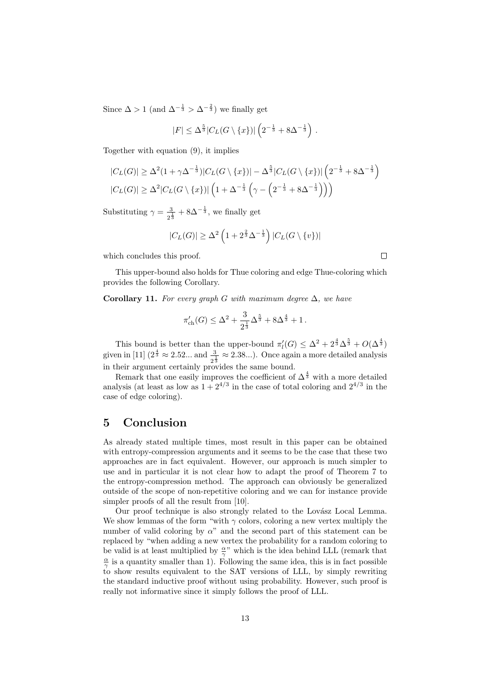Since  $\Delta > 1$  (and  $\Delta^{-\frac{1}{3}} > \Delta^{-\frac{2}{3}}$ ) we finally get

$$
|F| \le \Delta^{\frac{5}{3}} |C_L(G \setminus \{x\})| \left(2^{-\frac{1}{3}} + 8\Delta^{-\frac{1}{3}}\right).
$$

Together with equation (9), it implies

$$
|C_L(G)| \geq \Delta^2 (1 + \gamma \Delta^{-\frac{1}{3}})|C_L(G \setminus \{x\})| - \Delta^{\frac{5}{3}}|C_L(G \setminus \{x\})| (2^{-\frac{1}{3}} + 8\Delta^{-\frac{1}{3}})|C_L(G)| \geq \Delta^2 |C_L(G \setminus \{x\})| (1 + \Delta^{-\frac{1}{3}} (\gamma - (2^{-\frac{1}{3}} + 8\Delta^{-\frac{1}{3}})))
$$

Substituting  $\gamma = \frac{3}{2}$  $\frac{3}{2^{\frac{1}{3}}} + 8\Delta^{-\frac{1}{3}}$ , we finally get

$$
|C_L(G)| \ge \Delta^2 \left(1 + 2^{\frac{2}{3}} \Delta^{-\frac{1}{3}}\right) |C_L(G \setminus \{v\})|
$$

which concludes this proof.

This upper-bound also holds for Thue coloring and edge Thue-coloring which provides the following Corollary.

Corollary 11. For every graph G with maximum degree  $\Delta$ , we have

$$
\pi'_{\rm ch}(G) \le \Delta^2 + \frac{3}{2^{\frac{1}{3}}} \Delta^{\frac{5}{3}} + 8\Delta^{\frac{4}{3}} + 1.
$$

This bound is better than the upper-bound  $\pi'_l(G) \leq \Delta^2 + 2^{\frac{4}{3}} \Delta^{\frac{5}{3}} + O(\Delta^{\frac{4}{3}})$ This bound is better than the upper-bound  $n_l(x) \leq \Delta + 2 \Delta^3 + O(\Delta^3)$ <br>given in [11]  $(2^{\frac{4}{3}} \approx 2.52...$  and  $\frac{3}{2^{\frac{1}{3}}} \approx 2.38...)$ . Once again a more detailed analysis in their argument certainly provides the same bound.

Remark that one easily improves the coefficient of  $\Delta^{\frac{4}{3}}$  with a more detailed analysis (at least as low as  $1+2^{4/3}$  in the case of total coloring and  $2^{4/3}$  in the case of edge coloring).

### 5 Conclusion

As already stated multiple times, most result in this paper can be obtained with entropy-compression arguments and it seems to be the case that these two approaches are in fact equivalent. However, our approach is much simpler to use and in particular it is not clear how to adapt the proof of Theorem 7 to the entropy-compression method. The approach can obviously be generalized outside of the scope of non-repetitive coloring and we can for instance provide simpler proofs of all the result from [10].

Our proof technique is also strongly related to the Lovász Local Lemma. We show lemmas of the form "with  $\gamma$  colors, coloring a new vertex multiply the number of valid coloring by  $\alpha$ " and the second part of this statement can be replaced by "when adding a new vertex the probability for a random coloring to be valid is at least multiplied by  $\frac{\alpha}{\gamma}$ " which is the idea behind LLL (remark that  $\frac{\alpha}{\gamma}$  is a quantity smaller than 1). Following the same idea, this is in fact possible to show results equivalent to the SAT versions of LLL, by simply rewriting the standard inductive proof without using probability. However, such proof is really not informative since it simply follows the proof of LLL.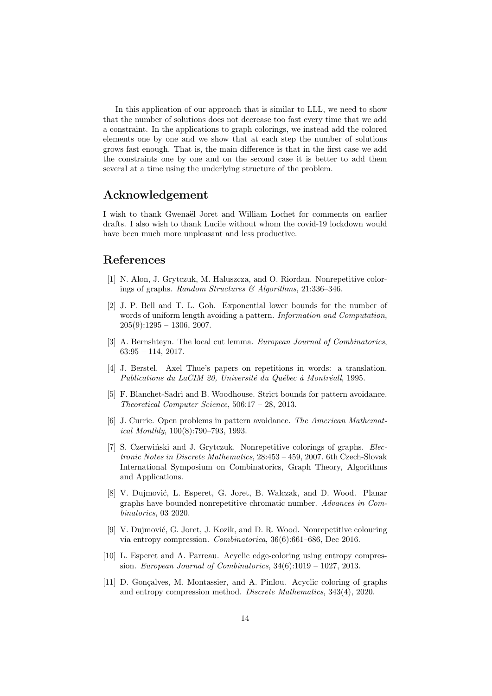In this application of our approach that is similar to LLL, we need to show that the number of solutions does not decrease too fast every time that we add a constraint. In the applications to graph colorings, we instead add the colored elements one by one and we show that at each step the number of solutions grows fast enough. That is, the main difference is that in the first case we add the constraints one by one and on the second case it is better to add them several at a time using the underlying structure of the problem.

### Acknowledgement

I wish to thank Gwenaël Joret and William Lochet for comments on earlier drafts. I also wish to thank Lucile without whom the covid-19 lockdown would have been much more unpleasant and less productive.

### References

- [1] N. Alon, J. Grytczuk, M. Haluszcza, and O. Riordan. Nonrepetitive colorings of graphs. Random Structures & Algorithms, 21:336–346.
- [2] J. P. Bell and T. L. Goh. Exponential lower bounds for the number of words of uniform length avoiding a pattern. Information and Computation,  $205(9):1295 - 1306, 2007.$
- [3] A. Bernshteyn. The local cut lemma. European Journal of Combinatorics,  $63:95 - 114, 2017.$
- [4] J. Berstel. Axel Thue's papers on repetitions in words: a translation. Publications du LaCIM 20, Université du Québec à Montréall, 1995.
- [5] F. Blanchet-Sadri and B. Woodhouse. Strict bounds for pattern avoidance. Theoretical Computer Science, 506:17 – 28, 2013.
- [6] J. Currie. Open problems in pattern avoidance. The American Mathematical Monthly, 100(8):790–793, 1993.
- [7] S. Czerwiński and J. Grytczuk. Nonrepetitive colorings of graphs. Electronic Notes in Discrete Mathematics, 28:453 – 459, 2007. 6th Czech-Slovak International Symposium on Combinatorics, Graph Theory, Algorithms and Applications.
- [8] V. Dujmović, L. Esperet, G. Joret, B. Walczak, and D. Wood. Planar graphs have bounded nonrepetitive chromatic number. Advances in Combinatorics, 03 2020.
- [9] V. Dujmović, G. Joret, J. Kozik, and D. R. Wood. Nonrepetitive colouring via entropy compression. Combinatorica, 36(6):661–686, Dec 2016.
- [10] L. Esperet and A. Parreau. Acyclic edge-coloring using entropy compression. European Journal of Combinatorics,  $34(6):1019 - 1027$ ,  $2013$ .
- [11] D. Gonçalves, M. Montassier, and A. Pinlou. Acyclic coloring of graphs and entropy compression method. Discrete Mathematics, 343(4), 2020.